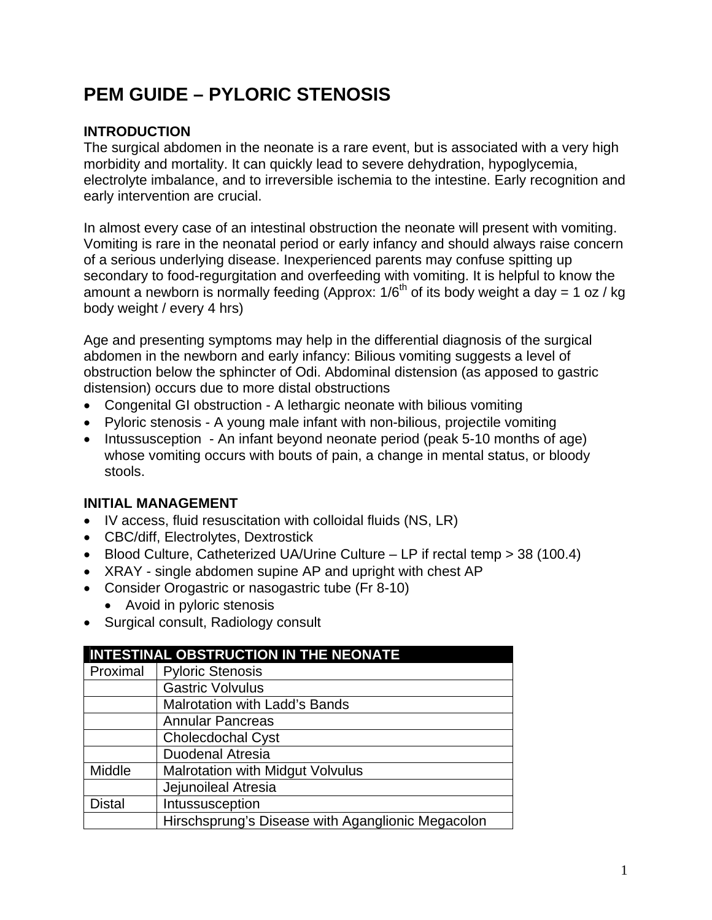# **PEM GUIDE – PYLORIC STENOSIS**

## **INTRODUCTION**

The surgical abdomen in the neonate is a rare event, but is associated with a very high morbidity and mortality. It can quickly lead to severe dehydration, hypoglycemia, electrolyte imbalance, and to irreversible ischemia to the intestine. Early recognition and early intervention are crucial.

In almost every case of an intestinal obstruction the neonate will present with vomiting. Vomiting is rare in the neonatal period or early infancy and should always raise concern of a serious underlying disease. Inexperienced parents may confuse spitting up secondary to food-regurgitation and overfeeding with vomiting. It is helpful to know the amount a newborn is normally feeding (Approx:  $1/6^{th}$  of its body weight a day = 1 oz / kg body weight / every 4 hrs)

Age and presenting symptoms may help in the differential diagnosis of the surgical abdomen in the newborn and early infancy: Bilious vomiting suggests a level of obstruction below the sphincter of Odi. Abdominal distension (as apposed to gastric distension) occurs due to more distal obstructions

- Congenital GI obstruction A lethargic neonate with bilious vomiting
- Pyloric stenosis A young male infant with non-bilious, projectile vomiting
- Intussusception An infant beyond neonate period (peak 5-10 months of age) whose vomiting occurs with bouts of pain, a change in mental status, or bloody stools.

## **INITIAL MANAGEMENT**

- IV access, fluid resuscitation with colloidal fluids (NS, LR)
- CBC/diff, Electrolytes, Dextrostick
- Blood Culture, Catheterized UA/Urine Culture LP if rectal temp > 38 (100.4)
- XRAY single abdomen supine AP and upright with chest AP
- Consider Orogastric or nasogastric tube (Fr 8-10)
	- Avoid in pyloric stenosis
- Surgical consult, Radiology consult

| <b>INTESTINAL OBSTRUCTION IN THE NEONATE</b> |                                                   |
|----------------------------------------------|---------------------------------------------------|
| Proximal                                     | <b>Pyloric Stenosis</b>                           |
|                                              | <b>Gastric Volvulus</b>                           |
|                                              | <b>Malrotation with Ladd's Bands</b>              |
|                                              | <b>Annular Pancreas</b>                           |
|                                              | <b>Cholecdochal Cyst</b>                          |
|                                              | <b>Duodenal Atresia</b>                           |
| Middle                                       | <b>Malrotation with Midgut Volvulus</b>           |
|                                              | Jejunoileal Atresia                               |
| <b>Distal</b>                                | Intussusception                                   |
|                                              | Hirschsprung's Disease with Aganglionic Megacolon |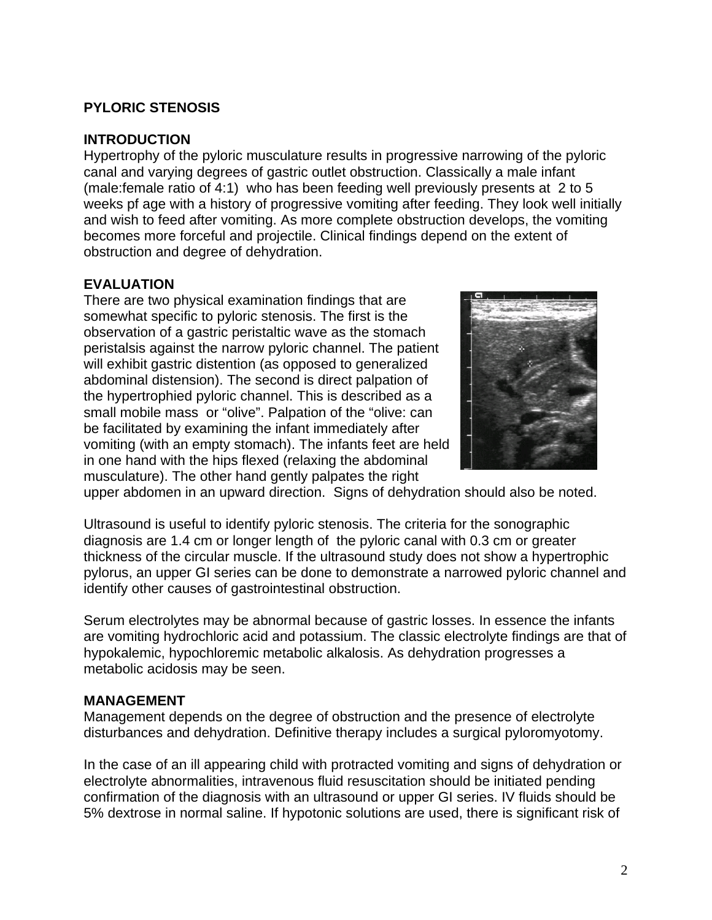## **PYLORIC STENOSIS**

#### **INTRODUCTION**

Hypertrophy of the pyloric musculature results in progressive narrowing of the pyloric canal and varying degrees of gastric outlet obstruction. Classically a male infant (male:female ratio of 4:1) who has been feeding well previously presents at 2 to 5 weeks pf age with a history of progressive vomiting after feeding. They look well initially and wish to feed after vomiting. As more complete obstruction develops, the vomiting becomes more forceful and projectile. Clinical findings depend on the extent of obstruction and degree of dehydration.

#### **EVALUATION**

There are two physical examination findings that are somewhat specific to pyloric stenosis. The first is the observation of a gastric peristaltic wave as the stomach peristalsis against the narrow pyloric channel. The patient will exhibit gastric distention (as opposed to generalized abdominal distension). The second is direct palpation of the hypertrophied pyloric channel. This is described as a small mobile mass or "olive". Palpation of the "olive: can be facilitated by examining the infant immediately after vomiting (with an empty stomach). The infants feet are held in one hand with the hips flexed (relaxing the abdominal musculature). The other hand gently palpates the right



upper abdomen in an upward direction. Signs of dehydration should also be noted.

Ultrasound is useful to identify pyloric stenosis. The criteria for the sonographic diagnosis are 1.4 cm or longer length of the pyloric canal with 0.3 cm or greater thickness of the circular muscle. If the ultrasound study does not show a hypertrophic pylorus, an upper GI series can be done to demonstrate a narrowed pyloric channel and identify other causes of gastrointestinal obstruction.

Serum electrolytes may be abnormal because of gastric losses. In essence the infants are vomiting hydrochloric acid and potassium. The classic electrolyte findings are that of hypokalemic, hypochloremic metabolic alkalosis. As dehydration progresses a metabolic acidosis may be seen.

#### **MANAGEMENT**

Management depends on the degree of obstruction and the presence of electrolyte disturbances and dehydration. Definitive therapy includes a surgical pyloromyotomy.

In the case of an ill appearing child with protracted vomiting and signs of dehydration or electrolyte abnormalities, intravenous fluid resuscitation should be initiated pending confirmation of the diagnosis with an ultrasound or upper GI series. IV fluids should be 5% dextrose in normal saline. If hypotonic solutions are used, there is significant risk of